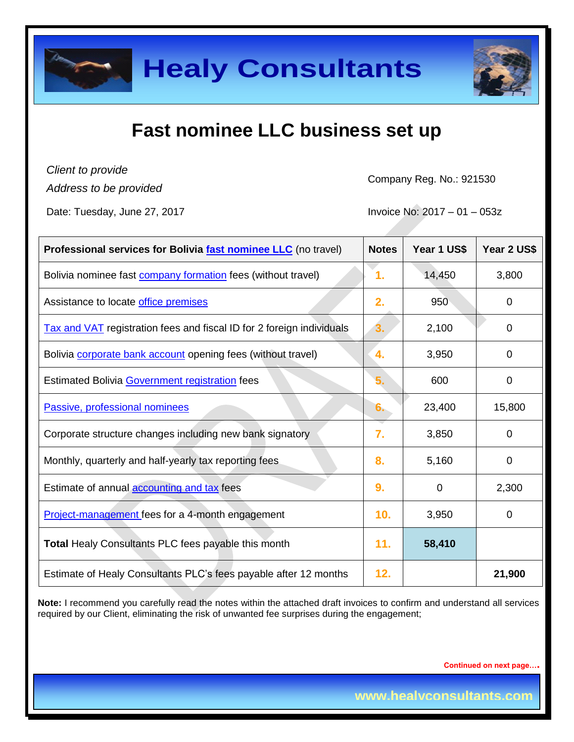

# **Fast nominee LLC business set up**

*Client to provide*

*Address to be provided*

Company Reg. No.: 921530

Date: Tuesday, June 27, 2017 **Invoice No: 2017** - 01 – 053z

| Professional services for Bolivia <b>fast nominee LLC</b> (no travel) | <b>Notes</b> | Year 1 US\$ | Year 2 US\$    |
|-----------------------------------------------------------------------|--------------|-------------|----------------|
| Bolivia nominee fast <b>company formation</b> fees (without travel)   | 1.           | 14,450      | 3,800          |
| Assistance to locate office premises                                  | 2.           | 950         | $\mathbf 0$    |
| Tax and VAT registration fees and fiscal ID for 2 foreign individuals | 3.           | 2,100       | $\overline{0}$ |
| Bolivia corporate bank account opening fees (without travel)          | 4.           | 3,950       | $\Omega$       |
| Estimated Bolivia Government registration fees                        | 5.           | 600         | $\overline{0}$ |
| Passive, professional nominees                                        | 6.           | 23,400      | 15,800         |
| Corporate structure changes including new bank signatory              | 7.           | 3,850       | $\overline{0}$ |
| Monthly, quarterly and half-yearly tax reporting fees                 | 8.           | 5,160       | $\overline{0}$ |
| Estimate of annual accounting and tax fees                            | 9.           | 0           | 2,300          |
| Project-management fees for a 4-month engagement                      | 10.          | 3,950       | $\Omega$       |
| Total Healy Consultants PLC fees payable this month                   | 11.          | 58,410      |                |
| Estimate of Healy Consultants PLC's fees payable after 12 months      | 12.          |             | 21,900         |

**Note:** I recommend you carefully read the notes within the attached draft invoices to confirm and understand all services required by our Client, eliminating the risk of unwanted fee surprises during the engagement;

**Continued on next page….**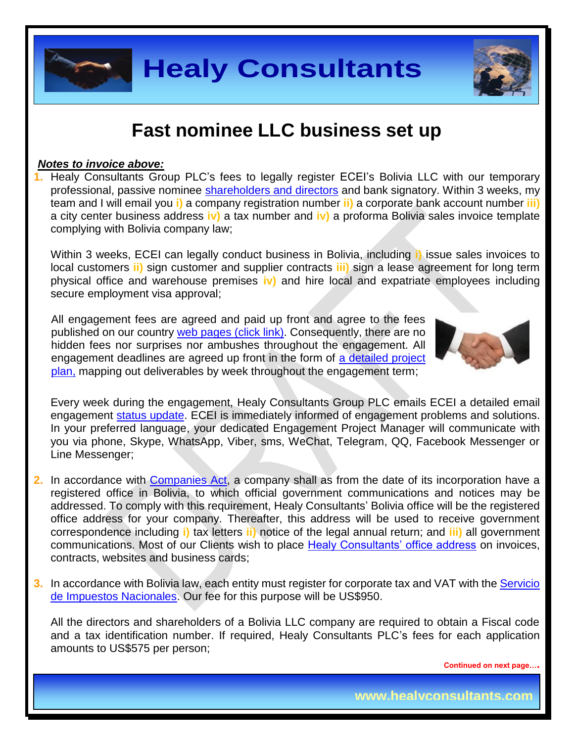

### **Fast nominee LLC business set up**

#### *Notes to invoice above:*

**1.** Healy Consultants Group PLC's fees to legally register ECEI's Bolivia LLC with our temporary professional, passive nominee [shareholders and directors](http://www.healyconsultants.com/corporate-advisory-services/nominee-shareholders-directors/) and bank signatory. Within 3 weeks, my team and I will email you **i)** a company registration number **ii)** a corporate bank account number **iii)** a city center business address **iv)** a tax number and **iv)** a proforma Bolivia sales invoice template complying with Bolivia company law;

Within 3 weeks, ECEI can legally conduct business in Bolivia, including **i)** issue sales invoices to local customers **ii)** sign customer and supplier contracts **iii)** sign a lease agreement for long term physical office and warehouse premises **iv)** and hire local and expatriate employees including secure employment visa approval;

All engagement fees are agreed and paid up front and agree to the fees published on our country [web pages](http://www.healyconsultants.com/turnkey-solutions/) (click link). Consequently, there are no hidden fees nor surprises nor ambushes throughout the engagement. All engagement deadlines are agreed up front in the form of a detailed project [plan,](http://www.healyconsultants.com/example-detailed-project-plan/) mapping out deliverables by week throughout the engagement term;



Every week during the engagement, Healy Consultants Group PLC emails ECEI a detailed email engagement [status update.](http://www.healyconsultants.com/index-important-links/weekly-engagement-status-email/) ECEI is immediately informed of engagement problems and solutions. In your preferred language, your dedicated Engagement Project Manager will communicate with you via phone, Skype, WhatsApp, Viber, sms, WeChat, Telegram, QQ, Facebook Messenger or Line Messenger;

- **2.** In accordance with **Companies Act**, a company shall as from the date of its incorporation have a registered office in Bolivia, to which official government communications and notices may be addressed. To comply with this requirement, Healy Consultants' Bolivia office will be the registered office address for your company. Thereafter, this address will be used to receive government correspondence including **i)** tax letters **ii)** notice of the legal annual return; and **iii)** all government communications. Most of our Clients wish to place [Healy Consultants' office address](http://www.healyconsultants.com/corporate-outsourcing-services/company-secretary-and-legal-registered-office/) on invoices, contracts, websites and business cards;
- **3.** In accordance with Bolivia law, each entity must register for corporate tax and VAT with the Servicio [de Impuestos Nacionales.](http://www.impuestos.gob.bo/) Our fee for this purpose will be US\$950.

All the directors and shareholders of a Bolivia LLC company are required to obtain a Fiscal code and a tax identification number. If required, Healy Consultants PLC's fees for each application amounts to US\$575 per person;

**Continued on next page….**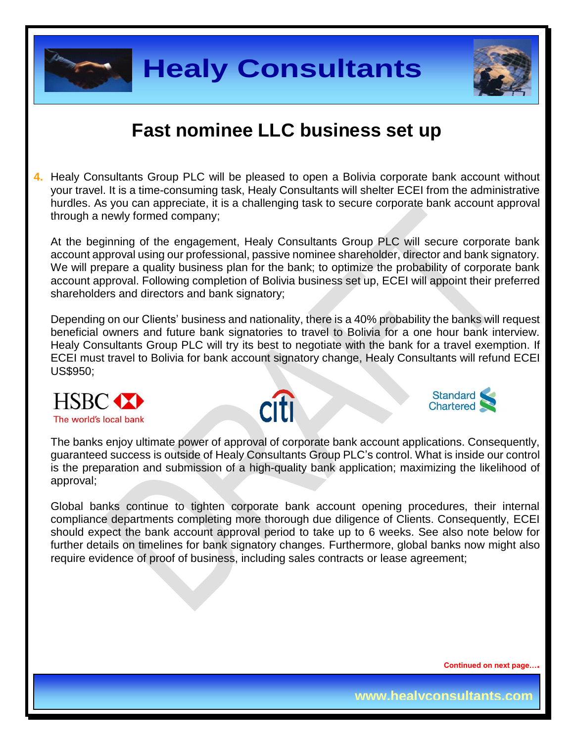



#### **Fast nominee LLC business set up**

**4.** Healy Consultants Group PLC will be pleased to open a Bolivia corporate bank account without your travel. It is a time-consuming task, Healy Consultants will shelter ECEI from the administrative hurdles. As you can appreciate, it is a challenging task to secure corporate bank account approval through a newly formed company;

At the beginning of the engagement, Healy Consultants Group PLC will secure corporate bank account approval using our professional, passive nominee shareholder, director and bank signatory. We will prepare a quality business plan for the bank; to optimize the probability of corporate bank account approval. Following completion of Bolivia business set up, ECEI will appoint their preferred shareholders and directors and bank signatory;

Depending on our Clients' business and nationality, there is a 40% probability the banks will request beneficial owners and future bank signatories to travel to Bolivia for a one hour bank interview. Healy Consultants Group PLC will try its best to negotiate with the bank for a travel exemption. If ECEI must travel to Bolivia for bank account signatory change, Healy Consultants will refund ECEI US\$950;







The banks enjoy ultimate power of approval of corporate bank account applications. Consequently, guaranteed success is outside of Healy Consultants Group PLC's control. What is inside our control is the preparation and submission of a high-quality bank application; maximizing the likelihood of approval;

Global banks continue to tighten corporate bank account opening procedures, their internal compliance departments completing more thorough due diligence of Clients. Consequently, ECEI should expect the bank account approval period to take up to 6 weeks. See also note below for further details on timelines for bank signatory changes. Furthermore, global banks now might also require evidence of proof of business, including sales contracts or lease agreement;

**Continued on next page….**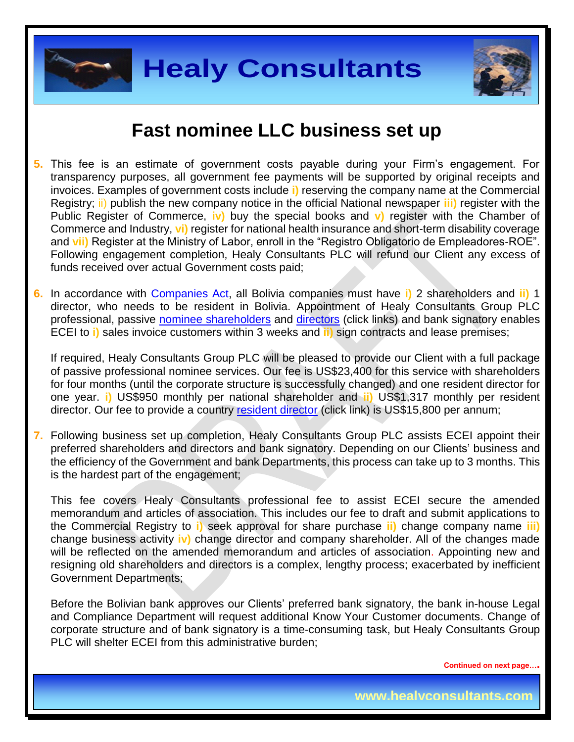



### **Fast nominee LLC business set up**

- **5.** This fee is an estimate of government costs payable during your Firm's engagement. For transparency purposes, all government fee payments will be supported by original receipts and invoices. Examples of government costs include **i)** reserving the company name at the Commercial Registry; ii) publish the new company notice in the official National newspaper **iii)** register with the Public Register of Commerce, **iv)** buy the special books and **v)** register with the Chamber of Commerce and Industry, **vi)** register for national health insurance and short-term disability coverage and **vii)** Register at the Ministry of Labor, enroll in the "Registro Obligatorio de Empleadores-ROE". Following engagement completion, Healy Consultants PLC will refund our Client any excess of funds received over actual Government costs paid;
- **6.** In accordance with [Companies Act,](http://www.fundempresa.org.bo/docs/content_new/codigo-de-comercio-_170.pdf) all Bolivia companies must have **i)** 2 shareholders and **ii)** 1 director, who needs to be resident in Bolivia. Appointment of Healy Consultants Group PLC professional, passive [nominee shareholders](http://www.healyconsultants.com/corporate-advisory-services/nominee-shareholders-directors/national-shareholder-services/) and [directors](http://www.healyconsultants.com/corporate-advisory-services/nominee-shareholders-directors/resident-director-services/) (click links) and bank signatory enables ECEI to **i)** sales invoice customers within 3 weeks and **ii)** sign contracts and lease premises;

If required, Healy Consultants Group PLC will be pleased to provide our Client with a full package of passive professional nominee services. Our fee is US\$23,400 for this service with shareholders for four months (until the corporate structure is successfully changed) and one resident director for one year. **i)** US\$950 monthly per national shareholder and **ii)** US\$1,317 monthly per resident director. Our fee to provide a country [resident director](http://www.healyconsultants.com/corporate-advisory-services/nominee-shareholders-directors/resident-director-services/) (click link) is US\$15,800 per annum;

**7.** Following business set up completion, Healy Consultants Group PLC assists ECEI appoint their preferred shareholders and directors and bank signatory. Depending on our Clients' business and the efficiency of the Government and bank Departments, this process can take up to 3 months. This is the hardest part of the engagement;

This fee covers Healy Consultants professional fee to assist ECEI secure the amended memorandum and articles of association. This includes our fee to draft and submit applications to the Commercial Registry to **i)** seek approval for share purchase **ii)** change company name **iii)** change business activity **iv)** change director and company shareholder. All of the changes made will be reflected on the amended memorandum and articles of association. Appointing new and resigning old shareholders and directors is a complex, lengthy process; exacerbated by inefficient Government Departments;

Before the Bolivian bank approves our Clients' preferred bank signatory, the bank in-house Legal and Compliance Department will request additional Know Your Customer documents. Change of corporate structure and of bank signatory is a time-consuming task, but Healy Consultants Group PLC will shelter ECEI from this administrative burden;

**Continued on next page….**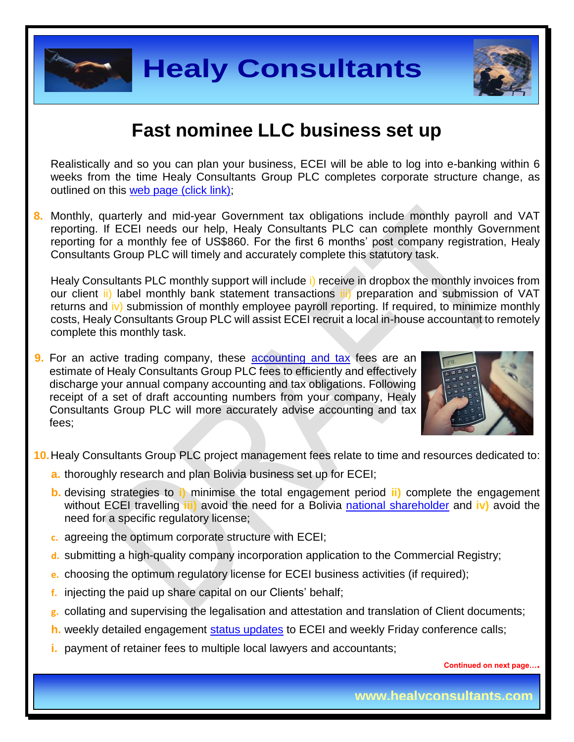

#### **Fast nominee LLC business set up**

Realistically and so you can plan your business, ECEI will be able to log into e-banking within 6 weeks from the time Healy Consultants Group PLC completes corporate structure change, as outlined on this [web page \(click link\);](http://www.healyconsultants.com/turnkey-solutions/)

**8.** Monthly, quarterly and mid-year Government tax obligations include monthly payroll and VAT reporting. If ECEI needs our help, Healy Consultants PLC can complete monthly Government reporting for a monthly fee of US\$860. For the first 6 months' post company registration, Healy Consultants Group PLC will timely and accurately complete this statutory task.

Healy Consultants PLC monthly support will include i) receive in dropbox the monthly invoices from our client ii) label monthly bank statement transactions iii) preparation and submission of VAT returns and iv) submission of monthly employee payroll reporting. If required, to minimize monthly costs, Healy Consultants Group PLC will assist ECEI recruit a local in-house accountant to remotely complete this monthly task.

**9.** For an active trading company, these accounting and tax fees are an estimate of Healy Consultants Group PLC fees to efficiently and effectively discharge your annual company accounting and tax obligations. Following receipt of a set of draft accounting numbers from your company, Healy Consultants Group PLC will more accurately advise accounting and tax fees;



**10.**Healy Consultants Group PLC project management fees relate to time and resources dedicated to:

- **a.** thoroughly research and plan Bolivia business set up for ECEI;
- **b.** devising strategies to **i)** minimise the total engagement period **ii)** complete the engagement without ECEI travelling **iii)** avoid the need for a Bolivia national [shareholder](http://www.healyconsultants.com/corporate-advisory-services/nominee-shareholders-directors/national-shareholder-services/) and **iv)** avoid the need for a specific regulatory license;
- **c.** agreeing the optimum corporate structure with ECEI;
- **d.** submitting a high-quality company incorporation application to the Commercial Registry;
- **e.** choosing the optimum regulatory license for ECEI business activities (if required);
- **f.** injecting the paid up share capital on our Clients' behalf;
- **g.** collating and supervising the legalisation and attestation and translation of Client documents;
- **h.** weekly detailed engagement [status updates](http://www.healyconsultants.com/index-important-links/weekly-engagement-status-email/) to ECEI and weekly Friday conference calls;
- **i.** payment of retainer fees to multiple local lawyers and accountants;

**Continued on next page….**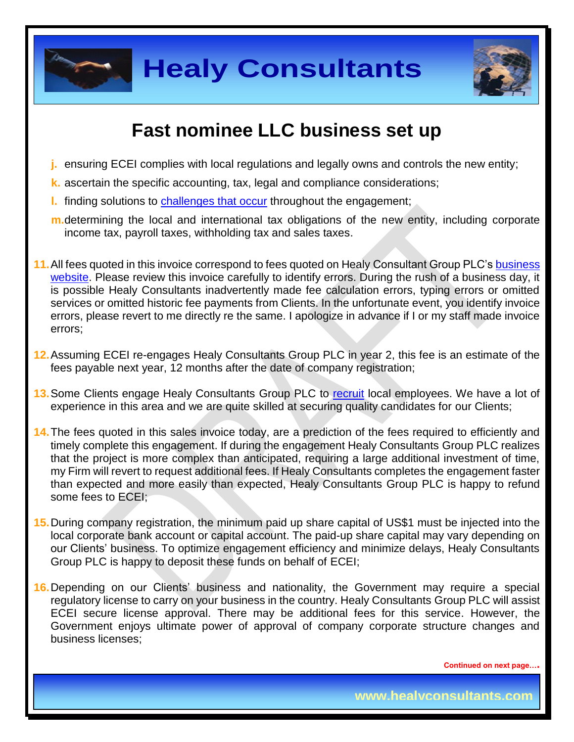



# **Fast nominee LLC business set up**

- **j.** ensuring ECEI complies with local regulations and legally owns and controls the new entity;
- **k.** ascertain the specific accounting, tax, legal and compliance considerations;
- **l.** finding solutions to [challenges that](http://www.healyconsultants.com/engagement-project-management/) occur throughout the engagement;
- **m.**determining the local and international tax obligations of the new entity, including corporate income tax, payroll taxes, withholding tax and sales taxes.
- **11.**All fees quoted in this invoice correspond to fees quoted on Healy Consultant Group PLC's [business](http://www.healyconsultants.com/india-company-registration/)  [website.](http://www.healyconsultants.com/india-company-registration/) Please review this invoice carefully to identify errors. During the rush of a business day, it is possible Healy Consultants inadvertently made fee calculation errors, typing errors or omitted services or omitted historic fee payments from Clients. In the unfortunate event, you identify invoice errors, please revert to me directly re the same. I apologize in advance if I or my staff made invoice errors;
- **12.**Assuming ECEI re-engages Healy Consultants Group PLC in year 2, this fee is an estimate of the fees payable next year, 12 months after the date of company registration;
- **13.**Some Clients engage Healy Consultants Group PLC to [recruit](http://www.healyconsultants.com/corporate-outsourcing-services/how-we-help-our-clients-recruit-quality-employees/) local employees. We have a lot of experience in this area and we are quite skilled at securing quality candidates for our Clients;
- **14.**The fees quoted in this sales invoice today, are a prediction of the fees required to efficiently and timely complete this engagement. If during the engagement Healy Consultants Group PLC realizes that the project is more complex than anticipated, requiring a large additional investment of time, my Firm will revert to request additional fees. If Healy Consultants completes the engagement faster than expected and more easily than expected, Healy Consultants Group PLC is happy to refund some fees to ECEI;
- **15.**During company registration, the minimum paid up share capital of US\$1 must be injected into the local corporate bank account or capital account. The paid-up share capital may vary depending on our Clients' business. To optimize engagement efficiency and minimize delays, Healy Consultants Group PLC is happy to deposit these funds on behalf of ECEI;
- **16.**Depending on our Clients' business and nationality, the Government may require a special regulatory license to carry on your business in the country. Healy Consultants Group PLC will assist ECEI secure license approval. There may be additional fees for this service. However, the Government enjoys ultimate power of approval of company corporate structure changes and business licenses;

**Continued on next page….**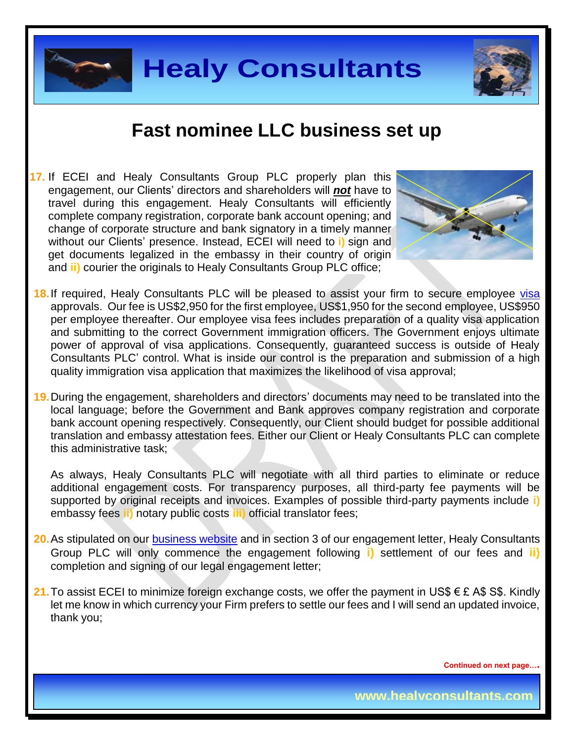

# **Fast nominee LLC business set up**

**17.** If ECEI and Healy Consultants Group PLC properly plan this engagement, our Clients' directors and shareholders will *not* have to travel during this engagement. Healy Consultants will efficiently complete company registration, corporate bank account opening; and change of corporate structure and bank signatory in a timely manner without our Clients' presence. Instead, ECEI will need to **i)** sign and get documents legalized in the embassy in their country of origin and **ii)** courier the originals to Healy Consultants Group PLC office;



- 18. If required, Healy Consultants PLC will be pleased to assist your firm to secure employee [visa](http://www.migracion.gob.bo/web/) approvals. Our fee is US\$2,950 for the first employee, US\$1,950 for the second employee, US\$950 per employee thereafter. Our employee visa fees includes preparation of a quality visa application and submitting to the correct Government immigration officers. The Government enjoys ultimate power of approval of visa applications. Consequently, guaranteed success is outside of Healy Consultants PLC' control. What is inside our control is the preparation and submission of a high quality immigration visa application that maximizes the likelihood of visa approval;
- **19.**During the engagement, shareholders and directors' documents may need to be translated into the local language; before the Government and Bank approves company registration and corporate bank account opening respectively. Consequently, our Client should budget for possible additional translation and embassy attestation fees. Either our Client or Healy Consultants PLC can complete this administrative task;

As always, Healy Consultants PLC will negotiate with all third parties to eliminate or reduce additional engagement costs. For transparency purposes, all third-party fee payments will be supported by original receipts and invoices. Examples of possible third-party payments include **i)** embassy fees **ii)** notary public costs **iii)** official translator fees;

- **20.**As stipulated on our [business website](http://www.healyconsultants.com/) and in section 3 of our engagement letter, Healy Consultants Group PLC will only commence the engagement following **i)** settlement of our fees and **ii)** completion and signing of our legal engagement letter;
- **21.** To assist ECEI to minimize foreign exchange costs, we offer the payment in US\$ € £ A\$ S\$. Kindly let me know in which currency your Firm prefers to settle our fees and I will send an updated invoice, thank you;

**Continued on next page….**